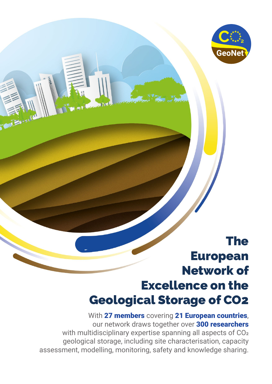

#### The European Network of Excellence on the Geological Storage of CO2

With 27 members covering 21 European countries, our network draws together over 300 researchers with multidisciplinary expertise spanning all aspects of CO<sub>2</sub> geological storage, including site characterisation, capacity assessment, modelling, monitoring, safety and knowledge sharing.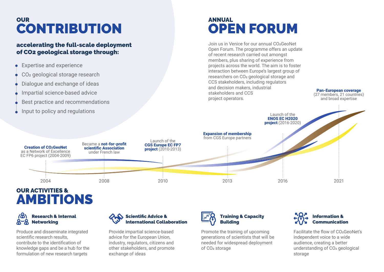### OUR **CONTRIBUTION**

#### accelerating the full-scale deployment of CO2 geological storage through:

- Expertise and experience
- CO<sub>2</sub> geological storage research
- Dialogue and exchange of ideas
- Impartial science-based advice
- Best practice and recommendations
- Input to policy and regulations

# ANNUAL OPEN FORUM

Join us in Venice for our annual CO2GeoNet Open Forum. The programme offers an update of recent research carried out amongst members, plus sharing of experience from projects across the world. The aim is to foster interaction between Europe's largest group of researchers on CO2 geological storage and CCS stakeholders, including regulators and decision makers, industrial stakeholders and CCS project operators.

> Launch of the ENOS EC H2020

Pan-European coverage (27 members, 21 countries) and broad expertise



### OUR ACTIVITIES & AMBITIONS



Produce and disseminate integrated scientific research results, contribute to the identification of knowledge gaps and be a hub for the formulation of new research targets



Provide impartial science-based advice for the European Union, industry, regulators, citizens and other stakeholders, and promote exchange of ideas



Promote the training of upcoming generations of scientists that will be needed for widespread deployment of CO2 storage



Facilitate the flow of CO2GeoNet's independent voice to a wide audience, creating a better understanding of CO<sub>2</sub> geological storage